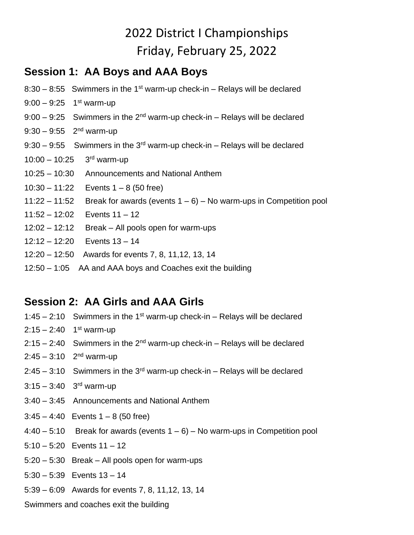# 2022 District I Championships Friday, February 25, 2022

### **Session 1: AA Boys and AAA Boys**

- $8:30 8:55$  Swimmers in the 1<sup>st</sup> warm-up check-in Relays will be declared
- 9:00 9:25 1<sup>st</sup> warm-up
- $9:00 9:25$  Swimmers in the 2<sup>nd</sup> warm-up check-in Relays will be declared
- 9:30 9:55 2<sup>nd</sup> warm-up
- $9:30 9:55$  Swimmers in the 3<sup>rd</sup> warm-up check-in Relays will be declared
- $10:00 10:25$  $3<sup>rd</sup>$  warm-up
- 10:25 10:30 Announcements and National Anthem
- 10:30 11:22 Events  $1 8$  (50 free)
- 11:22 11:52 Break for awards (events  $1 6$ ) No warm-ups in Competition pool
- 11:52 12:02 Events 11 12
- 12:02 12:12 Break All pools open for warm-ups
- 12:12 12:20 Events 13 14
- 12:20 12:50 Awards for events 7, 8, 11,12, 13, 14
- 12:50 1:05 AA and AAA boys and Coaches exit the building

### **Session 2: AA Girls and AAA Girls**

- 1:45 2:10 Swimmers in the 1<sup>st</sup> warm-up check-in Relays will be declared 2:15 – 2:40 1<sup>st</sup> warm-up  $2:15 - 2:40$  Swimmers in the 2<sup>nd</sup> warm-up check-in – Relays will be declared 2:45 – 3:10 2<sup>nd</sup> warm-up  $2:45 - 3:10$  Swimmers in the 3<sup>rd</sup> warm-up check-in – Relavs will be declared 3:15 – 3:40 3<sup>rd</sup> warm-up 3:40 – 3:45 Announcements and National Anthem  $3:45 - 4:40$  Events  $1 - 8$  (50 free)  $4:40 - 5:10$  Break for awards (events  $1 - 6$ ) – No warm-ups in Competition pool  $5:10 - 5:20$  Events  $11 - 12$ 5:20 – 5:30 Break – All pools open for warm-ups 5:30 – 5:39 Events 13 – 14
	- 5:39 6:09 Awards for events 7, 8, 11,12, 13, 14

Swimmers and coaches exit the building